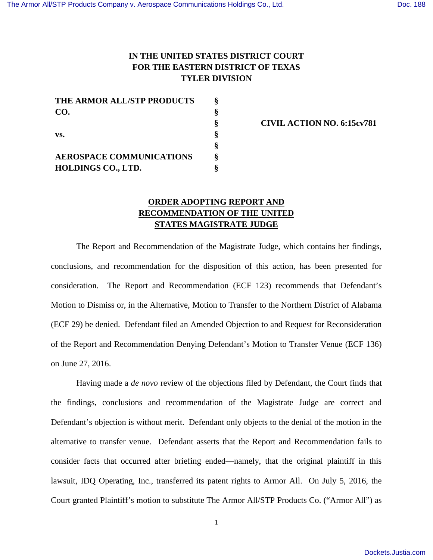## **IN THE UNITED STATES DISTRICT COURT FOR THE EASTERN DISTRICT OF TEXAS TYLER DIVISION**

| THE ARMOR ALL/STP PRODUCTS      |  |
|---------------------------------|--|
| CO.                             |  |
|                                 |  |
| VS.                             |  |
|                                 |  |
| <b>AEROSPACE COMMUNICATIONS</b> |  |
| <b>HOLDINGS CO., LTD.</b>       |  |

**§ CIVIL ACTION NO. 6:15cv781** 

## **ORDER ADOPTING REPORT AND RECOMMENDATION OF THE UNITED STATES MAGISTRATE JUDGE**

The Report and Recommendation of the Magistrate Judge, which contains her findings, conclusions, and recommendation for the disposition of this action, has been presented for consideration. The Report and Recommendation (ECF 123) recommends that Defendant's Motion to Dismiss or, in the Alternative, Motion to Transfer to the Northern District of Alabama (ECF 29) be denied. Defendant filed an Amended Objection to and Request for Reconsideration of the Report and Recommendation Denying Defendant's Motion to Transfer Venue (ECF 136) on June 27, 2016.

Having made a *de novo* review of the objections filed by Defendant, the Court finds that the findings, conclusions and recommendation of the Magistrate Judge are correct and Defendant's objection is without merit. Defendant only objects to the denial of the motion in the alternative to transfer venue. Defendant asserts that the Report and Recommendation fails to consider facts that occurred after briefing ended—namely, that the original plaintiff in this lawsuit, IDQ Operating, Inc., transferred its patent rights to Armor All. On July 5, 2016, the Court granted Plaintiff's motion to substitute The Armor All/STP Products Co. ("Armor All") as